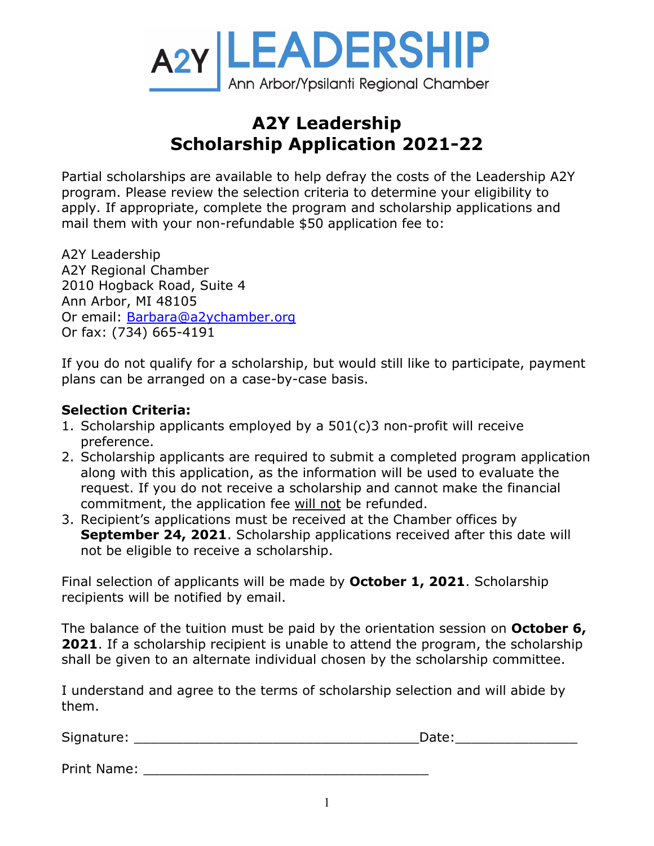

## **A2Y Leadership Scholarship Application 2021-22**

Partial scholarships are available to help defray the costs of the Leadership A2Y program. Please review the selection criteria to determine your eligibility to apply. If appropriate, complete the program and scholarship applications and mail them with your non-refundable \$50 application fee to:

A2Y Leadership A2Y Regional Chamber 2010 Hogback Road, Suite 4 Ann Arbor, MI 48105 Or email: [Barbara@a2ychamber.org](mailto:Barbara@a2ychamber.org) Or fax: (734) 665-4191

If you do not qualify for a scholarship, but would still like to participate, payment plans can be arranged on a case-by-case basis.

## **Selection Criteria:**

- 1. Scholarship applicants employed by a 501(c)3 non-profit will receive preference.
- 2. Scholarship applicants are required to submit a completed program application along with this application, as the information will be used to evaluate the request. If you do not receive a scholarship and cannot make the financial commitment, the application fee will not be refunded.
- 3. Recipient's applications must be received at the Chamber offices by **September 24, 2021**. Scholarship applications received after this date will not be eligible to receive a scholarship.

Final selection of applicants will be made by **October 1, 2021**. Scholarship recipients will be notified by email.

The balance of the tuition must be paid by the orientation session on **October 6, 2021**. If a scholarship recipient is unable to attend the program, the scholarship shall be given to an alternate individual chosen by the scholarship committee.

I understand and agree to the terms of scholarship selection and will abide by them.

| Signatu<br>1.0001<br>- |  |
|------------------------|--|
|                        |  |

Print Name: